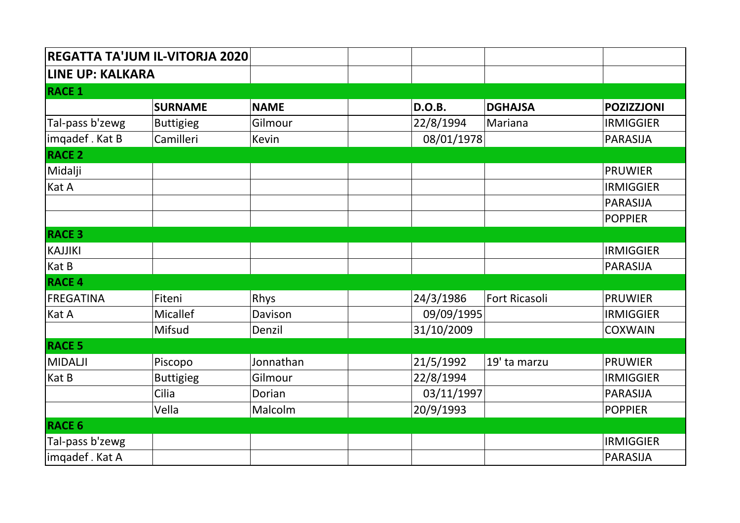| REGATTA TA'JUM IL-VITORJA 2020 |                  |             |                                   |                   |
|--------------------------------|------------------|-------------|-----------------------------------|-------------------|
| <b>LINE UP: KALKARA</b>        |                  |             |                                   |                   |
| <b>RACE 1</b>                  |                  |             |                                   |                   |
|                                | <b>SURNAME</b>   | <b>NAME</b> | <b>D.O.B.</b><br><b>DGHAJSA</b>   | <b>POZIZZJONI</b> |
| Tal-pass b'zewg                | <b>Buttigieg</b> | Gilmour     | 22/8/1994<br>Mariana              | <b>IRMIGGIER</b>  |
| imqadef. Kat B                 | Camilleri        | Kevin       | 08/01/1978                        | <b>PARASIJA</b>   |
| <b>RACE 2</b>                  |                  |             |                                   |                   |
| Midalji                        |                  |             |                                   | <b>PRUWIER</b>    |
| Kat A                          |                  |             |                                   | <b>IRMIGGIER</b>  |
|                                |                  |             |                                   | <b>PARASIJA</b>   |
|                                |                  |             |                                   | <b>POPPIER</b>    |
| <b>RACE 3</b>                  |                  |             |                                   |                   |
| <b>KAJJIKI</b>                 |                  |             |                                   | <b>IRMIGGIER</b>  |
| Kat B                          |                  |             |                                   | <b>PARASIJA</b>   |
| <b>RACE 4</b>                  |                  |             |                                   |                   |
| <b>FREGATINA</b>               | Fiteni           | Rhys        | 24/3/1986<br><b>Fort Ricasoli</b> | <b>PRUWIER</b>    |
| Kat A                          | <b>Micallef</b>  | Davison     | 09/09/1995                        | <b>IRMIGGIER</b>  |
|                                | Mifsud           | Denzil      | 31/10/2009                        | <b>COXWAIN</b>    |
| <b>RACE 5</b>                  |                  |             |                                   |                   |
| <b>MIDALJI</b>                 | Piscopo          | Jonnathan   | 21/5/1992<br>19' ta marzu         | <b>PRUWIER</b>    |
| Kat B                          | <b>Buttigieg</b> | Gilmour     | 22/8/1994                         | <b>IRMIGGIER</b>  |
|                                | Cilia            | Dorian      | 03/11/1997                        | <b>PARASIJA</b>   |
|                                | Vella            | Malcolm     | 20/9/1993                         | <b>POPPIER</b>    |
| <b>RACE 6</b>                  |                  |             |                                   |                   |
| Tal-pass b'zewg                |                  |             |                                   | <b>IRMIGGIER</b>  |
| imqadef . Kat A                |                  |             |                                   | <b>PARASIJA</b>   |